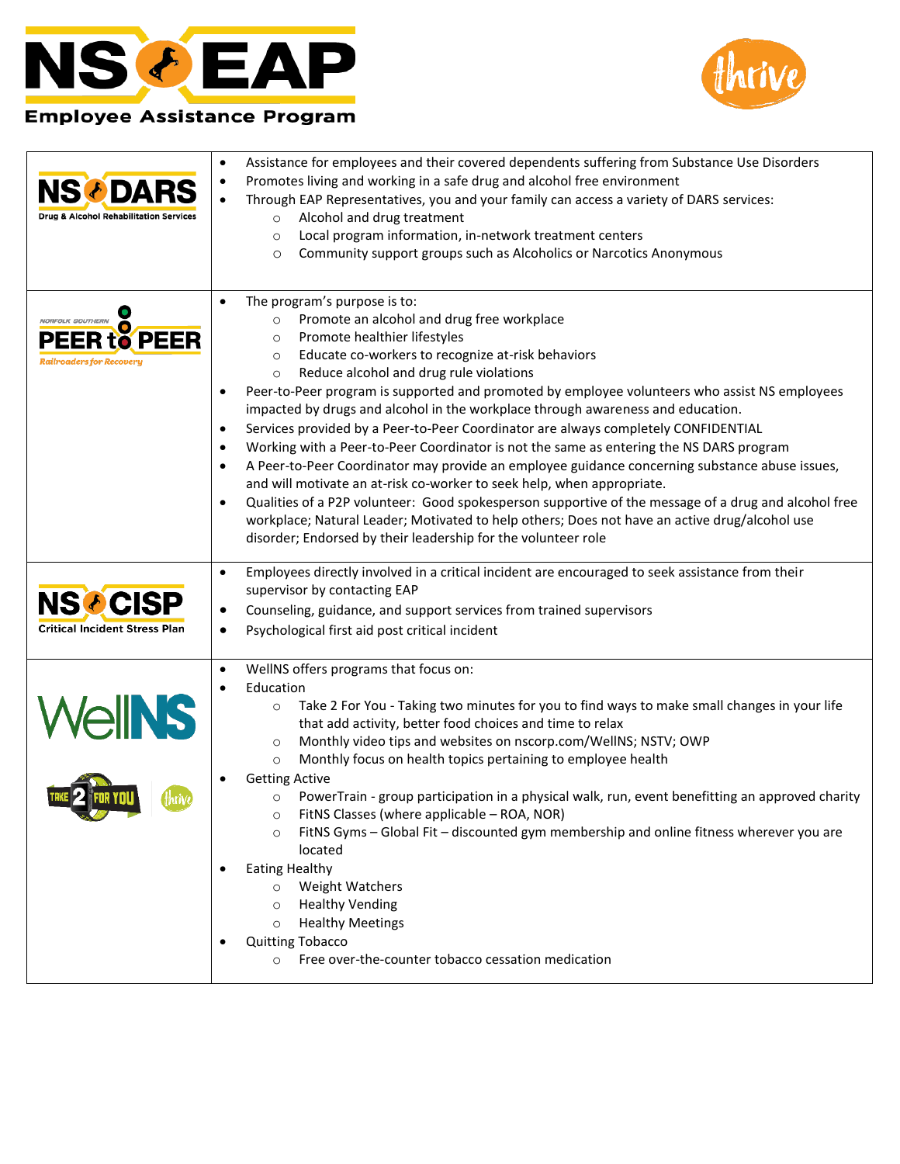



## **Employee Assistance Program**

| <b>NS<i>I</i></b> DARS<br><b>Drug &amp; Alcohol Rehabilitation Services</b> | Assistance for employees and their covered dependents suffering from Substance Use Disorders<br>Promotes living and working in a safe drug and alcohol free environment<br>Through EAP Representatives, you and your family can access a variety of DARS services:<br>Alcohol and drug treatment<br>$\circ$<br>Local program information, in-network treatment centers<br>$\circ$<br>Community support groups such as Alcoholics or Narcotics Anonymous<br>$\circ$                                                                                                                                                                                                                                                                                                                                                                                                                                                                                                                                                                                                                                                                    |
|-----------------------------------------------------------------------------|---------------------------------------------------------------------------------------------------------------------------------------------------------------------------------------------------------------------------------------------------------------------------------------------------------------------------------------------------------------------------------------------------------------------------------------------------------------------------------------------------------------------------------------------------------------------------------------------------------------------------------------------------------------------------------------------------------------------------------------------------------------------------------------------------------------------------------------------------------------------------------------------------------------------------------------------------------------------------------------------------------------------------------------------------------------------------------------------------------------------------------------|
| <b>NORFOLK SOUTHERN</b><br>PEER<br><b>Railroaders for Recovery</b>          | The program's purpose is to:<br>Promote an alcohol and drug free workplace<br>$\circ$<br>Promote healthier lifestyles<br>$\circ$<br>Educate co-workers to recognize at-risk behaviors<br>$\circ$<br>Reduce alcohol and drug rule violations<br>$\circ$<br>Peer-to-Peer program is supported and promoted by employee volunteers who assist NS employees<br>impacted by drugs and alcohol in the workplace through awareness and education.<br>Services provided by a Peer-to-Peer Coordinator are always completely CONFIDENTIAL<br>$\bullet$<br>Working with a Peer-to-Peer Coordinator is not the same as entering the NS DARS program<br>$\bullet$<br>A Peer-to-Peer Coordinator may provide an employee guidance concerning substance abuse issues,<br>$\bullet$<br>and will motivate an at-risk co-worker to seek help, when appropriate.<br>Qualities of a P2P volunteer: Good spokesperson supportive of the message of a drug and alcohol free<br>$\bullet$<br>workplace; Natural Leader; Motivated to help others; Does not have an active drug/alcohol use<br>disorder; Endorsed by their leadership for the volunteer role |
| <b>NSCCISP</b><br><b>Critical Incident Stress Plan</b>                      | Employees directly involved in a critical incident are encouraged to seek assistance from their<br>$\bullet$<br>supervisor by contacting EAP<br>Counseling, guidance, and support services from trained supervisors<br>٠<br>Psychological first aid post critical incident                                                                                                                                                                                                                                                                                                                                                                                                                                                                                                                                                                                                                                                                                                                                                                                                                                                            |
| <b>ellNS</b>                                                                | WellNS offers programs that focus on:<br>Education<br>Take 2 For You - Taking two minutes for you to find ways to make small changes in your life<br>$\circ$<br>that add activity, better food choices and time to relax<br>Monthly video tips and websites on nscorp.com/WellNS; NSTV; OWP<br>$\circ$<br>Monthly focus on health topics pertaining to employee health<br>$\circ$<br><b>Getting Active</b><br>PowerTrain - group participation in a physical walk, run, event benefitting an approved charity<br>$\circ$<br>FitNS Classes (where applicable - ROA, NOR)<br>O<br>FitNS Gyms - Global Fit - discounted gym membership and online fitness wherever you are<br>$\circ$<br>located<br><b>Eating Healthy</b><br><b>Weight Watchers</b><br>$\circ$<br><b>Healthy Vending</b><br>$\circ$<br><b>Healthy Meetings</b><br>$\circ$<br><b>Quitting Tobacco</b><br>Free over-the-counter tobacco cessation medication                                                                                                                                                                                                               |